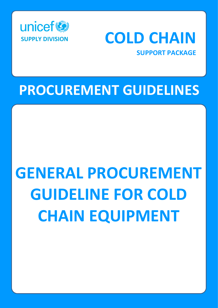



## **PROCUREMENT GUIDELINES**

# **GENERAL PROCUREMENT GUIDELINE FOR COLD CHAIN EQUIPMENT**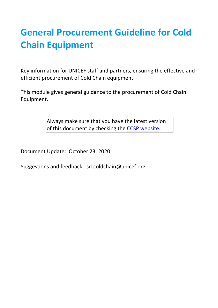### **General Procurement Guideline for Cold Chain Equipment**

Key information for UNICEF staff and partners, ensuring the effective and efficient procurement of Cold Chain equipment.

This module gives general guidance to the procurement of Cold Chain Equipment.

> Always make sure that you have the latest version of this document by checking the [CCSP website.](http://www.unicef.org/supply/index_68367.html)

Document Update: October 23, 2020

Suggestions and feedback: sd.coldchain@unicef.org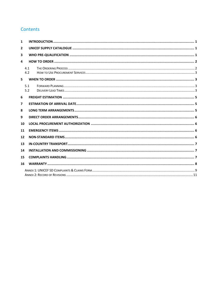#### Contents

| 1              |            |  |  |  |  |  |
|----------------|------------|--|--|--|--|--|
| $\overline{2}$ |            |  |  |  |  |  |
| 3              |            |  |  |  |  |  |
| 4              |            |  |  |  |  |  |
|                | 4.1<br>4.2 |  |  |  |  |  |
| 5              |            |  |  |  |  |  |
|                | 5.1<br>5.2 |  |  |  |  |  |
| 6              |            |  |  |  |  |  |
| 7              |            |  |  |  |  |  |
| 8              |            |  |  |  |  |  |
| 9              |            |  |  |  |  |  |
|                | 10         |  |  |  |  |  |
| 11             |            |  |  |  |  |  |
|                | 12         |  |  |  |  |  |
|                | 13         |  |  |  |  |  |
|                | 14         |  |  |  |  |  |
|                | 15         |  |  |  |  |  |
|                | 16         |  |  |  |  |  |
|                |            |  |  |  |  |  |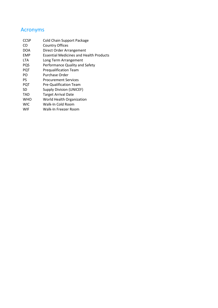#### Acronyms

| <b>CCSP</b> | Cold Chain Support Package                     |
|-------------|------------------------------------------------|
| CO          | <b>Country Offices</b>                         |
| DOA         | Direct Order Arrangement                       |
| EMP         | <b>Essential Medicines and Health Products</b> |
| LTA         | Long Term Arrangement                          |
| PQS         | Performance Quality and Safety                 |
| PQT         | <b>Prequalification Team</b>                   |
| PO          | Purchase Order                                 |
| PS          | <b>Procurement Services</b>                    |
| <b>PQT</b>  | <b>Pre-Qualification Team</b>                  |
| SD          | <b>Supply Division (UNICEF)</b>                |
| TAD         | <b>Target Arrival Date</b>                     |
| <b>WHO</b>  | World Health Organization                      |
| <b>WIC</b>  | Walk-In Cold Room                              |
| WIF         | Walk-In Freezer Room                           |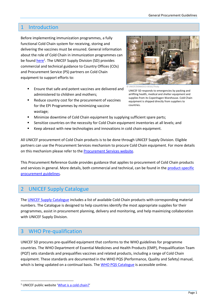#### <span id="page-4-0"></span>1 Introduction

Before implementing immunization programmes, a fully functional Cold Chain system for receiving, storing and delivering the vaccines must be ensured. General information about the role of Cold Chain in immunization programmes can be foun[d here](http://www.unicef.org/supply/index_68352.html)<sup>1</sup>. The UNICEF Supply Division (SD) provides commercial and technical guidance to Country Offices (COs) and Procurement Service (PS) partners on Cold Chain equipment to support efforts to:

- Ensure that safe and potent vaccines are delivered and administered to children and mothers;
- Reduce country cost for the procurement of vaccines for the EPI Programmes by minimizing vaccine wastage;



© UNICEF/DENM2013-00161/Thoby

UNICEF SD responds to emergencies by packing and airlifting health, medical and shelter equipment and supplies from its Copenhagen Warehouse. Cold Chain equipment is shipped directly from suppliers to countries.

- Minimize downtime of Cold Chain equipment by supplying sufficient spare parts;
- **EXECT** Sensitize countries on the necessity for Cold Chain equipment inventories at all levels; and
- Keep abreast with new technologies and innovations in cold chain equipment.

All UNICEF procurement of Cold Chain products is to be done through UNICEF Supply Division. Eligible partners can use the Procurement Services mechanism to procure Cold Chain equipment. For more details on this mechanism please refer to the **Procurement Services website**.

This Procurement Reference Guide provides guidance that applies to procurement of Cold Chain products and services in general. More details, both commercial and technical, can be found in th[e product-specific](https://www.unicef.org/supply/cold-chain-technical-support) [procurement](https://www.unicef.org/supply/cold-chain-technical-support) guidelines.

#### <span id="page-4-1"></span>2 UNICEF Supply Catalogue

The [UNICEF Supply Catalogue](https://supply.unicef.org/) includes a list of available Cold Chain products with corresponding material numbers. The Catalogue is designed to help countries identify the most appropriate supplies for their programmes, assist in procurement planning, delivery and monitoring, and help maximizing collaboration with UNICEF Supply Division.

#### <span id="page-4-2"></span>3 WHO Pre-qualification

UNICEF SD procures pre-qualified equipment that conforms to the WHO guidelines for programme countries. The WHO Department of Essential Medicines and Health Products (EMP), Prequalification Team (PQT) sets standards and prequalifies vaccines and related products, including a range of Cold Chain equipment. These standards are documented in the WHO PQS (Performance, Quality and Safety) manual, which is being updated on a continual basis. The [WHO PQS Catalogue](http://apps.who.int/immunization_standards/vaccine_quality/pqs_catalogue/) is accessible online.

<sup>&</sup>lt;sup>1</sup> UNICEF public website '[What is a cold chain?](https://www.unicef.org/supply/what-cold-chain#:~:text=A%20high%2Dquality%20cold%20chain,vaccines%20to%20every%20last%20child.&text=This%20is%20called%20a%20cold,until%20the%20moment%20of%20vaccination.)'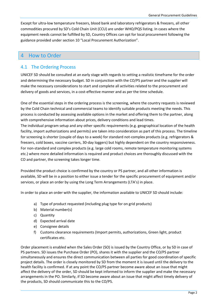Except for ultra-low temperature freezers, blood bank and laboratory refrigerators & freezers, all other commodities procured by SD's Cold Chain Unit (CCU) are under WHO/PQS listing. In cases where the equipment needs cannot be fulfilled by SD, Country Offices can opt for local procurement following the guidance provided under section 10 "Local Procurement Authorization".

#### <span id="page-5-0"></span>4 How to Order

#### <span id="page-5-1"></span>4.1 The Ordering Process

UNICEF SD should be consulted at an early stage with regards to setting a realistic timeframe for the order and determining the necessary budget. SD in conjunction with the CO/PS partner and the supplier will make the necessary considerations to start and complete all activities related to the procurement and delivery of goods and services, in a cost-effective manner and as per the time schedule.

One of the essential steps in the ordering process is the screening, where the country requests is reviewed by the Cold Chain technical and commercial teams to identify suitable products meeting the needs. This process is conducted by assessing available options in the market and offering them to the partner, along with comprehensive information about prices, delivery conditions and lead times.

The individual program setup and any other specific requirements (e.g. geographical location of the health facility, import authorizations and permits) are taken into consideration as part of this process. The timeline for screening is shorter (couple of days to a week) for standard not-complex products (e.g. refrigerators & freezers, cold boxes, vaccine carriers, 30-day loggers) but highly dependent on the country responsiveness. For non-standard and complex products (e.g. large cold rooms, remote temperature monitoring systems etc.) where more detailed information is required and product choices are thoroughly discussed with the CO and partner, the screening takes longer time.

Provided the product choice is confirmed by the country or PS partner, and all other information is available, SD will be in a position to either issue a tender for the specific procurement of equipment and/or services, or place an order by using the Long Term Arrangements (LTA's) in place.

In order to place an order with the supplier, the information available to UNICEF SD should include:

- a) Type of product requested (including plug type for on grid products)
- b) Material number(s)
- c) Quantity
- d) Expected arrival date
- e) Consignee details
- f) Customs clearance requirements (Import permits, authorizations, Green light, product certificates etc.

Order placement is enabled when the Sales Order (SO) is issued by the Country Office, or by SD in case of PS partners. SD issues the Purchase Order (PO), shares it with the supplier and the CO/PS partner simultaneously and ensures the direct communication between all parties for good coordination of specific project details. The order is closely monitored by SD from the moment it is issued until the delivery to the health facility is confirmed. If at any point the CO/PS partner become aware about an issue that might affect the delivery of the order, SD should be kept informed to inform the supplier and make the necessary arrangements in the PO. Similarly, if SD become aware about an issue that might affect timely delivery of the products, SD should communicate this to the CO/PS.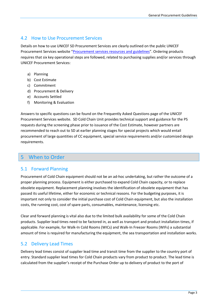#### <span id="page-6-0"></span>4.2 How to Use Procurement Services

Details on how to use UNICEF SD Procurement Services are clearly outlined on the public UNICEF Procurement Services website "[Procurement services resources and guidelines](https://www.unicef.org/supply/procurement-services-resources-and-guidelines)". Ordering products requires that six key operational steps are followed, related to purchasing supplies and/or services through UNICEF Procurement Services:

- a) Planning
- b) Cost Estimate
- c) Commitment
- d) Procurement & Delivery
- e) Accounts Settled
- f) Monitoring & Evaluation

Answers to specific questions can be found on the Frequently Asked Questions page of the UNICEF Procurement Services website. SD Cold Chain Unit provides technical support and guidance for the PS requests during the screening phase prior to issuance of the Cost Estimate, however partners are recommended to reach out to SD at earlier planning stages for special projects which would entail procurement of large quantities of CC equipment, special service requirements and/or customized design requirements.

#### <span id="page-6-1"></span>5 When to Order

#### <span id="page-6-2"></span>5.1 Forward Planning

Procurement of Cold Chain equipment should not be an ad-hoc undertaking, but rather the outcome of a proper planning process. Equipment is either purchased to expand Cold Chain capacity, or to replace obsolete equipment. Replacement planning involves the identification of obsolete equipment that has passed its useful lifetime, either for economic or technical reasons. For the budgeting purposes, it is important not only to consider the initial purchase cost of Cold Chain equipment, but also the installation costs, the running cost, cost of spare parts, consumables, maintenance, licensing etc.

Clear and forward planning is vital also due to the limited bulk availability for some of the Cold Chain products. Supplier lead times need to be factored in, as well as transport and product installation times, if applicable. For example, for Walk-In Cold Rooms (WICs) and Walk-In Freezer Rooms (WIFs) a substantial amount of time is required for manufacturing the equipment, the sea transportation and installation works.

#### <span id="page-6-3"></span>5.2 Delivery Lead Times

Delivery lead times consist of supplier lead time and transit time from the supplier to the country port of entry. Standard supplier lead times for Cold Chain products vary from product to product. The lead time is calculated from the supplier's receipt of the Purchase Order up to delivery of product to the port of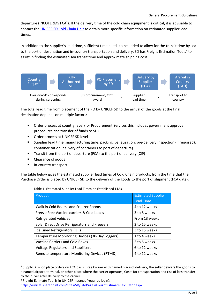departure (INCOTERMS FCA<sup>2</sup>). If the delivery time of the cold chain equipment is critical, it is advisable to contact the [UNICEF SD Cold Chain Unit](mailto:sd.coldchain@unicef.org) to obtain more specific information on estimated supplier lead times.

In addition to the supplier's lead time, sufficient time needs to be added to allow for the transit time by sea to the port of destination and in-country transportation and delivery. SD has Freight Estimation Tools<sup>3</sup> to assist in finding the estimated sea transit time and approximate shipping cost.



The total lead time from placement of the PO by UNICEF SD to the arrival of the goods at the final destination depends on multiple factors:

- Order process at country level (for Procurement Services this includes government approval procedures and transfer of funds to SD)
- Order process at UNICEF SD level
- Supplier lead time (manufacturing time, packing, palletization, pre-delivery inspection (if required), containerization, delivery of containers to port of departure)
- Transit from the port of departure (FCA) to the port of delivery (CIP)
- Clearance of goods
- In-country transport

The table below gives the estimated supplier lead times of Cold Chain products, from the time that the Purchase Order is placed by UNICEF SD to the delivery of the goods to the port of shipment (FCA date).

Table 1. Estimated Supplier Lead Times on Established LTAs

| Product                                         | <b>Estimated Supplier</b> |
|-------------------------------------------------|---------------------------|
|                                                 | <b>Lead Time</b>          |
| Walk in Cold Rooms and Freezer Rooms            | 4 to 12 weeks             |
| Freeze Free Vaccine carriers & Cold boxes       | 3 to 8 weeks              |
| Refrigerated vehicles                           | From 13 weeks             |
| Solar Direct Drive Refrigerators and Freezers   | 3 to 15 weeks             |
| Ice Lined Refrigerators (ILRs                   | 3 to 15 weeks             |
| Temperature Monitoring Devices (30-Day Loggers) | 1 to 4 weeks              |
| <b>Vaccine Carriers and Cold Boxes</b>          | 2 to 6 weeks              |
| <b>Voltage Regulators and Stabilisers</b>       | 6 to 12 weeks             |
| Remote temperature Monitoring Devices (RTMD)    | 4 to 12 weeks             |

<sup>&</sup>lt;sup>2</sup> Supply Division place orders on FCA basis: Free Carrier with named place of delivery; the seller delivers the goods to a named airport, terminal, or other place where the carrier operates; Costs for transportation and risk of loss transfer to the buyer after delivery to the carrier.

<sup>3</sup> Freight Estimate Tool is in UNICEF Intranet (requires login):

<https://unicef.sharepoint.com/sites/SD/SitePages/FreightEstimateCalculator.aspx>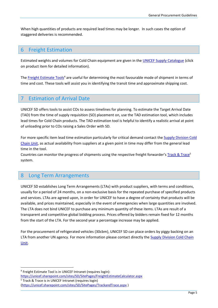When high quantities of products are required lead times may be longer. In such cases the option of staggered deliveries is recommended.

#### <span id="page-8-0"></span>6 Freight Estimation

Estimated weights and volumes for Cold Chain equipment are given in th[e UNICEF Supply Catalogue](https://supply.unicef.org/) (click on product item for detailed information).

The [Freight Estimate Tools](https://unicef.sharepoint.com/sites/SD/SitePages/FreightEstimateCalculator.aspx)<sup>4</sup> are useful for determining the most favourable mode of shipment in terms of time and cost. These tools will assist you in identifying the transit time and approximate shipping cost.

#### <span id="page-8-1"></span>**Estimation of Arrival Date**

UNICEF SD offers tools to assist COs to assess timelines for planning. To estimate the Target Arrival Date (TAD) from the time of supply requisition (SO) placement on, use the TAD estimation tool, which includes lead times for Cold Chain products. The TAD estimation tool is helpful to identify a realistic arrival at point of unloading prior to COs raising a Sales Order with SD.

For more specific item lead time estimation particularly for critical demand contact the Supply Division Cold [Chain Unit,](mailto:sd.coldchain@unicef.org) as actual availability from suppliers at a given point in time may differ from the general lead time in the tool.

Countries can monitor the progress of shipments using the respective freight forwarder's [Track & Trace](https://unicef.sharepoint.com/sites/SD/SitePages/TrackandTrace.aspx)<sup>5</sup> system.

#### <span id="page-8-2"></span>8 Long Term Arrangements

UNICEF SD establishes Long Term Arrangements (LTAs) with product suppliers, with terms and conditions, usually for a period of 24 months, on a non-exclusive basis for the repeated purchase of specified products and services. LTAs are agreed upon, in order for UNICEF to have a degree of certainty that products will be available, and prices maintained, especially in the event of emergencies when large quantities are involved. The LTA does not bind UNICEF to purchase any minimum quantity of these items. LTAs are result of a transparent and competitive global bidding process. Prices offered by bidders remain fixed for 12 months from the start of the LTA. For the second year a percentage increase may be applied.

For the procurement of refrigerated vehicles (30cbm), UNICEF SD can place orders by piggy backing on an LTA from another UN agency. For more information please contact directly the **Supply Division Cold Chain** [Unit.](mailto:SD.ColdChain@unicef.org)

<sup>4</sup> Freight Estimate Tool is in UNICEF Intranet (requires login):

<https://unicef.sharepoint.com/sites/SD/SitePages/FreightEstimateCalculator.aspx> <sup>5</sup> Track & Trace is in UNICEF Intranet (requires login)

[<sup>\(</sup>https://unicef.sharepoint.com/sites/SD/SitePages/TrackandTrace.aspx](https://unicef.sharepoint.com/sites/SD/SitePages/TrackandTrace.aspx) )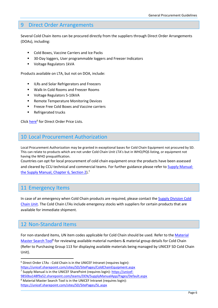#### <span id="page-9-0"></span>9 Direct Order Arrangements

Several Cold Chain items can be procured directly from the suppliers through Direct Order Arrangements (DOAs), including:

- Cold Boxes, Vaccine Carriers and Ice Packs
- 30-Day loggers, User programmable loggers and Freezer Indicators
- Voltage Regulators 1kVA

Products available on LTA, but not on DOA, include:

- ILRs and Solar Refrigerators and Freezers
- Walk-In Cold Rooms and Freezer Rooms
- Voltage Regulators 5-10kVA
- Remote Temperature Monitoring Devices
- Freeze Free Cold Boxes and Vaccine carriers
- **Refrigerated trucks**

Click [here](https://unicef.sharepoint.com/sites/SD/SitePages/ColdChainEquipment.aspx)<sup>6</sup> for Direct Order Price Lists.

#### <span id="page-9-1"></span>10 Local Procurement Authorization

Local Procurement Authorization may be granted in exceptional bases for Cold Chain Equipment not procured by SD. This can relate to products which are not under Cold Chain Unit LTA's but in WHO/PQS listing, or equipment not having the WHO prequalification.

Countries can opt for local procurement of cold chain equipment once the products have been assessed and cleared by CCU technical and commercial teams. For further guidance please refer to [Supply Manual:](https://unicef-9850ba148f9a52.sharepoint.com/teams/DEN/SupplyManualApp/Pages/Default.aspx)  [the Supply Manual, Chapter 6, Section 2\)](https://unicef-9850ba148f9a52.sharepoint.com/teams/DEN/SupplyManualApp/Pages/Default.aspx).<sup>7</sup>

#### <span id="page-9-2"></span>11 Emergency Items

In case of an emergency when Cold Chain products are required, please contact the [Supply Division Cold](mailto:SD.ColdChain@unicef.org)  [Chain Unit.](mailto:SD.ColdChain@unicef.org) The Cold Chain LTAs include emergency stocks with suppliers for certain products that are available for immediate shipment.

#### <span id="page-9-3"></span>12 Non-Standard Items

For non-standard items, UN item codes applicable for Cold Chain should be used. Refer to th[e Material](https://unicef.sharepoint.com/sites/SD/SitePages/SL.aspx)  [Master Search Tool](https://unicef.sharepoint.com/sites/SD/SitePages/SL.aspx)<sup>8</sup> for reviewing available material numbers & material group details for Cold Chain (Refer to Purchasing Group 113 for displaying available materials being managed by UNICEF SD Cold Chain Unit).

<sup>7</sup> Supply Manual is in the UNICEF SharePoint (requires login): [https://unicef-](https://unicef-9850ba148f9a52.sharepoint.com/teams/DEN/SupplyManualApp/Pages/Default.aspx)[9850ba148f9a52.sharepoint.com/teams/DEN/SupplyManualApp/Pages/Default.aspx](https://unicef-9850ba148f9a52.sharepoint.com/teams/DEN/SupplyManualApp/Pages/Default.aspx)

<sup>6</sup> Direct Order LTAs - Cold Chain is in the UNICEF Intranet (requires login): <https://unicef.sharepoint.com/sites/SD/SitePages/ColdChainEquipment.aspx>

<sup>8</sup> Material Master Search Tool is in the UNICEF Intranet (requires login): <https://unicef.sharepoint.com/sites/SD/SitePages/SL.aspx>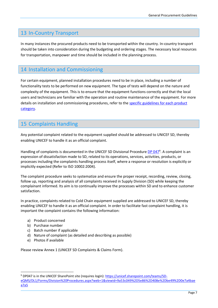#### <span id="page-10-0"></span>13 In-Country Transport

In many instances the procured products need to be transported within the country. In-country transport should be taken into consideration during the budgeting and ordering stages. The necessary local resources for transportation, manpower and time should be included in the planning process.

#### <span id="page-10-1"></span>14 Installation and Commissioning

For certain equipment, planned installation procedures need to be in place, including a number of functionality tests to be performed on new equipment. The type of tests will depend on the nature and complexity of the equipment. This is to ensure that the equipment functions correctly and that the local users and technicians are familiar with the operation and routine maintenance of the equipment. For more details on installation and commissioning procedures, refer to the [specific guidelines](https://www.unicef.org/supply/cold-chain-technical-support) for each product [category.](https://www.unicef.org/supply/cold-chain-technical-support)

#### <span id="page-10-2"></span>15 Complaints Handling

Any potential complaint related to the equipment supplied should be addressed to UNICEF SD, thereby enabling UNICEF to handle it as an official complaint.

Handling of complaints is documented in the UNICEF SD Divisional Procedure [DP 047](https://unicef.sharepoint.com/teams/SD-eQMS/DL1/Forms/Division%20Procedures.aspx?web=1&viewid=9a53c049%2D5e86%2D408e%2Dbe49%2D0e7a4baea7a5)<sup>9</sup>. A complaint is an expression of dissatisfaction made to SD, related to its operations, services, activities, products, or processes including the complaints handling process itself, where a response or resolution is explicitly or implicitly expected (Refer to ISO 10002:2004).

The complaint procedure seeks to systematize and ensure the proper receipt, recording, review, closing, follow up, reporting and analysis of all complaints received in Supply Division (SD) while keeping the complainant informed. Its aim is to continually improve the processes within SD and to enhance customer satisfaction.

In practice, complaints related to Cold Chain equipment supplied are addressed to UNICEF SD, thereby enabling UNICEF to handle it as an official complaint. In order to facilitate fast complaint handling, it is important the complaint contains the following information:

- a) Product concerned
- b) Purchase number
- c) Batch number if applicable
- d) Nature of complaint (as detailed and describing as possible)
- e) Photos if available

Please review Annex 1 (UNICEF SD Complaints & Claims Form).

<sup>9</sup> DP047 is in the UNICEF SharePoint site (requires login): [https://unicef.sharepoint.com/teams/SD-](https://unicef.sharepoint.com/teams/SD-eQMS/DL1/Forms/Division%20Procedures.aspx?web=1&viewid=9a53c049%2D5e86%2D408e%2Dbe49%2D0e7a4baea7a5)

[eQMS/DL1/Forms/Division%20Procedures.aspx?web=1&viewid=9a53c049%2D5e86%2D408e%2Dbe49%2D0e7a4bae](https://unicef.sharepoint.com/teams/SD-eQMS/DL1/Forms/Division%20Procedures.aspx?web=1&viewid=9a53c049%2D5e86%2D408e%2Dbe49%2D0e7a4baea7a5) [a7a5](https://unicef.sharepoint.com/teams/SD-eQMS/DL1/Forms/Division%20Procedures.aspx?web=1&viewid=9a53c049%2D5e86%2D408e%2Dbe49%2D0e7a4baea7a5)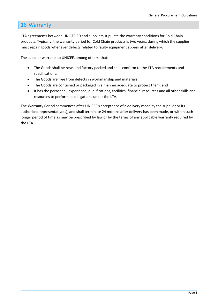#### <span id="page-11-0"></span>16 Warranty

LTA agreements between UNICEF SD and suppliers stipulate the warranty conditions for Cold Chain products. Typically, the warranty period for Cold Chain products is two years, during which the supplier must repair goods whenever defects related to faulty equipment appear after delivery.

The supplier warrants to UNICEF, among others, that:

- The Goods shall be new, and factory packed and shall conform to the LTA requirements and specifications;
- The Goods are free from defects in workmanship and materials;
- The Goods are contained or packaged in a manner adequate to protect them; and
- It has the personnel, experience, qualifications, facilities, financial resources and all other skills and resources to perform its obligations under the LTA.

The Warranty Period commences after UNICEF's acceptance of a delivery made by the supplier or its authorized representative(s), and shall terminate 24 months after delivery has been made, or within such longer period of time as may be prescribed by law or by the terms of any applicable warranty required by the LTA.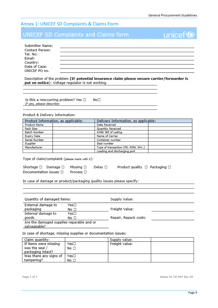unicef<sup>®</sup>

#### <span id="page-12-0"></span>Annex 1: UNICEF SD Complaints & Claims Form

#### **UNICEF SD Complaints and Claims form**

| Submitter Name:<br>Contact Person: |  |
|------------------------------------|--|
|                                    |  |
| Tel. No:                           |  |
| Email:                             |  |
| Country:<br>Date of Case:          |  |
|                                    |  |
| UNICEF PO no.                      |  |

Description of the problem (IF potential insurance claim please ensure carrier/forwarder is put on notice): Voltage regulator is not working.

Is this a reoccurring problem? Yes  $\Box$  $No<sub>1</sub>$ If yes, please describe:

#### Product & Delivery Information:

| Product Information, as applicable: | Delivery Information, as applicable: |  |
|-------------------------------------|--------------------------------------|--|
| Product Name                        | Date Received                        |  |
| Pack Size                           | <b>Quantity Received</b>             |  |
| Batch Number                        | AWB/ Bill of Lading                  |  |
| Expiry Date                         | Name of Carrier                      |  |
| Serial Number                       | Container number                     |  |
| Supplier                            | Seal number                          |  |
| Manufacturer                        | Type of transaction (PS, PGM, WH)    |  |
|                                     | Loading and discharging port         |  |

Type of claim/complaint (please mark with x):

| Shortage $\Box$ Damage $\Box$ Missing $\Box$ Delay $\Box$ |  |  | Product quality $\Box$ Packaging $\Box$ |
|-----------------------------------------------------------|--|--|-----------------------------------------|
| Documentation issues $\square$ Process $\square$          |  |  |                                         |

#### In case of damage or product/packaging quality issues please specify:

| Quantity of damaged items:                                |      | Supply Value:         |  |
|-----------------------------------------------------------|------|-----------------------|--|
| External damage to                                        | Yes□ |                       |  |
| packaging                                                 | No □ | Freight Value:        |  |
| Internal damage to                                        | Yes□ |                       |  |
| goods                                                     | No □ | Repair, Repack costs: |  |
| Are the damaged supplies reparable and or<br>salvageable? |      |                       |  |

In case of shortage, missing supplies or documentation issues:

| Claim quantity:        |              | Supply value:  |  |
|------------------------|--------------|----------------|--|
| If items were missing  | Yes□         | Freight value: |  |
| was the seal /         | No $\square$ |                |  |
| packaging intact?      |              |                |  |
| Was there any signs of | Yes□         |                |  |
| tampering?             | No □         |                |  |

Annex 01 DP 047 Rev 05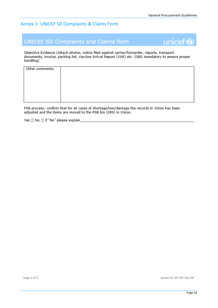unicef<sup>®</sup>

#### Annex 1: UNICEF SD Complaints & Claims Form

#### **UNICEF SD Complaints and Claims form**



| Other comments: |  |
|-----------------|--|
|                 |  |
|                 |  |
|                 |  |
|                 |  |
|                 |  |
|                 |  |
|                 |  |

PSB process: confirm that for all cases of shortage/loss/damage the records in Vision has been adjusted and the items are moved to the PSB bin (099) in Vision.

Yes □ No □ if "No" please explain\_

Annex 01 DP 047 Rev 05